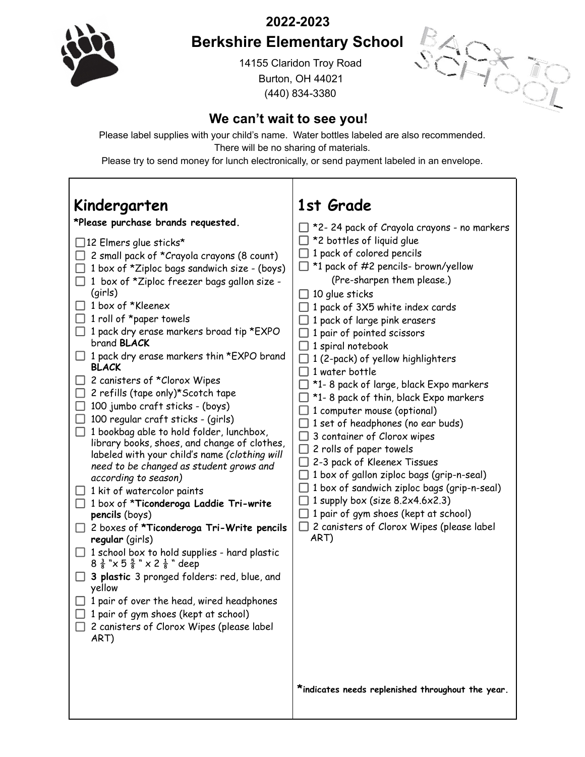**2022-2023**



## **Berkshire Elementary School**

14155 Claridon Troy Road Burton, OH 44021 (440) 834-3380



## **We can't wait to see you!**

Please label supplies with your child's name. Water bottles labeled are also recommended. There will be no sharing of materials.

Please try to send money for lunch electronically, or send payment labeled in an envelope.

 $\overline{1}$ 

| Kindergarten                                                                                                                                                                                                                                                                                                                                                                                                                                                                                                                                                                                                                                                                                                                                                                                                                                                                                                                                                                                                                                                                                                                                                                                                                                                                                                            | 1st Grade                                                                                                                                                                                                                                                                                                                                                                                                                                                                                                                                                                                                                                                                                                                                                                                                                                                                                                                                                                                            |
|-------------------------------------------------------------------------------------------------------------------------------------------------------------------------------------------------------------------------------------------------------------------------------------------------------------------------------------------------------------------------------------------------------------------------------------------------------------------------------------------------------------------------------------------------------------------------------------------------------------------------------------------------------------------------------------------------------------------------------------------------------------------------------------------------------------------------------------------------------------------------------------------------------------------------------------------------------------------------------------------------------------------------------------------------------------------------------------------------------------------------------------------------------------------------------------------------------------------------------------------------------------------------------------------------------------------------|------------------------------------------------------------------------------------------------------------------------------------------------------------------------------------------------------------------------------------------------------------------------------------------------------------------------------------------------------------------------------------------------------------------------------------------------------------------------------------------------------------------------------------------------------------------------------------------------------------------------------------------------------------------------------------------------------------------------------------------------------------------------------------------------------------------------------------------------------------------------------------------------------------------------------------------------------------------------------------------------------|
| *Please purchase brands requested.<br>$\Box$ 12 Elmers glue sticks*<br>2 small pack of *Crayola crayons (8 count)<br>1 box of *Ziploc bags sandwich size - (boys)<br>1 box of *Ziploc freezer bags gallon size -<br>(girls)<br>1 box of *Kleenex<br>1 roll of *paper towels<br>$\Box$ 1 pack dry erase markers broad tip *EXPO<br>brand <b>BLACK</b><br>$\Box$ 1 pack dry erase markers thin *EXPO brand<br><b>BLACK</b><br>2 canisters of *Clorox Wipes<br>2 refills (tape only)*Scotch tape<br>100 jumbo craft sticks - (boys)<br>⊔<br>100 regular craft sticks - (girls)<br>1 bookbag able to hold folder, lunchbox,<br>$\perp$<br>library books, shoes, and change of clothes,<br>labeled with your child's name (clothing will<br>need to be changed as student grows and<br>according to season)<br>1 kit of watercolor paints<br>$\Box$ 1 box of *Ticonderoga Laddie Tri-write<br>pencils (boys)<br>$\Box$ 2 boxes of *Ticonderoga Tri-Write pencils<br>regular (girls)<br>$\Box$ 1 school box to hold supplies - hard plastic<br>$8\frac{3}{8}$ " $\times$ 5 $\frac{5}{8}$ " $\times$ 2 $\frac{1}{8}$ " deep<br>3 plastic 3 pronged folders: red, blue, and<br>yellow<br>1 pair of over the head, wired headphones<br>1 pair of gym shoes (kept at school)<br>2 canisters of Clorox Wipes (please label<br>ART) | $\Box$ *2-24 pack of Crayola crayons - no markers<br>$\Box$ *2 bottles of liquid glue<br>$\Box$ 1 pack of colored pencils<br>$\Box$ *1 pack of #2 pencils- brown/yellow<br>(Pre-sharpen them please.)<br>$\Box$ 10 glue sticks<br>$\Box$ 1 pack of 3X5 white index cards<br>$\Box$ 1 pack of large pink erasers<br>$\Box$ 1 pair of pointed scissors<br>$\Box$ 1 spiral notebook<br>$\Box$ 1 (2-pack) of yellow highlighters<br>$\Box$ 1 water bottle<br>$\Box$ *1- 8 pack of large, black Expo markers<br>$\Box$ *1-8 pack of thin, black Expo markers<br>$\Box$ 1 computer mouse (optional)<br>$\Box$ 1 set of headphones (no ear buds)<br>$\Box$ 3 container of Clorox wipes<br>$\Box$ 2 rolls of paper towels<br>$\Box$ 2-3 pack of Kleenex Tissues<br>$\Box$ 1 box of gallon ziploc bags (grip-n-seal)<br>$\Box$ 1 box of sandwich ziploc bags (grip-n-seal)<br>1 supply box (size $8.2x4.6x2.3$ )<br>1 pair of gym shoes (kept at school)<br>2 canisters of Clorox Wipes (please label<br>ART) |
|                                                                                                                                                                                                                                                                                                                                                                                                                                                                                                                                                                                                                                                                                                                                                                                                                                                                                                                                                                                                                                                                                                                                                                                                                                                                                                                         | *indicates needs replenished throughout the year.                                                                                                                                                                                                                                                                                                                                                                                                                                                                                                                                                                                                                                                                                                                                                                                                                                                                                                                                                    |